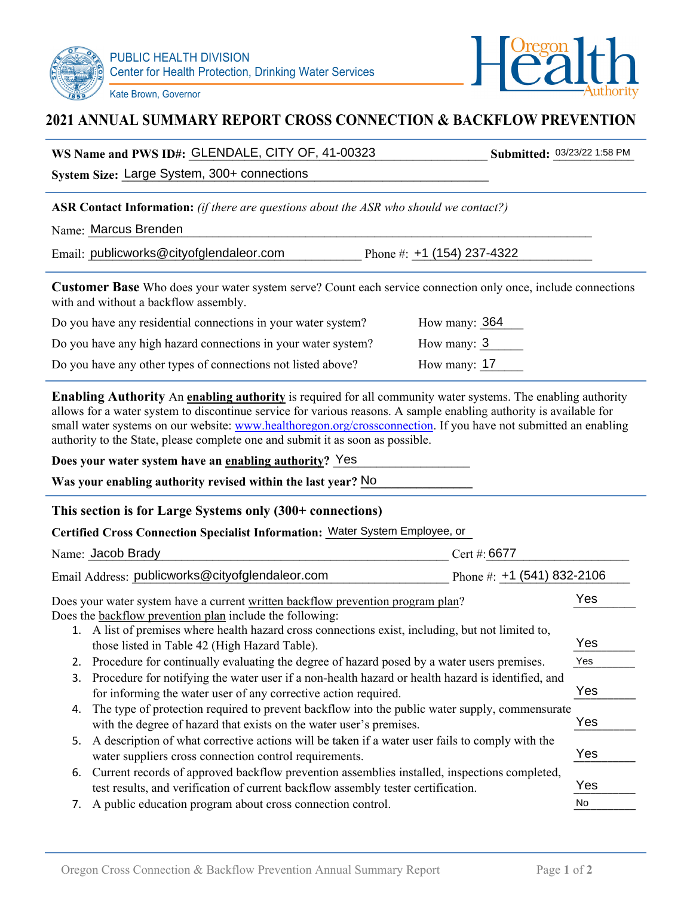Kate Brown, Governor



# **2021 ANNUAL SUMMARY REPORT CROSS CONNECTION & BACKFLOW PREVENTION**

WS Name and PWS ID#: GLENDALE, CITY OF, 41-00323 Submitted:  $\frac{03/23/22}{1.58}$  PM

| System Size: Large System, 300+ connections                                                                                                                                                                                                                                                                                                                                                                                                                                                                     |     |
|-----------------------------------------------------------------------------------------------------------------------------------------------------------------------------------------------------------------------------------------------------------------------------------------------------------------------------------------------------------------------------------------------------------------------------------------------------------------------------------------------------------------|-----|
| <b>ASR Contact Information:</b> (if there are questions about the ASR who should we contact?)                                                                                                                                                                                                                                                                                                                                                                                                                   |     |
| Name: Marcus Brenden                                                                                                                                                                                                                                                                                                                                                                                                                                                                                            |     |
| Email: publicworks@cityofglendaleor.com<br>Phone #: $+1$ (154) 237-4322                                                                                                                                                                                                                                                                                                                                                                                                                                         |     |
| Customer Base Who does your water system serve? Count each service connection only once, include connections<br>with and without a backflow assembly.                                                                                                                                                                                                                                                                                                                                                           |     |
| Do you have any residential connections in your water system?<br>How many: 364                                                                                                                                                                                                                                                                                                                                                                                                                                  |     |
| How many: 3<br>Do you have any high hazard connections in your water system?                                                                                                                                                                                                                                                                                                                                                                                                                                    |     |
| How many: 17<br>Do you have any other types of connections not listed above?                                                                                                                                                                                                                                                                                                                                                                                                                                    |     |
| <b>Enabling Authority</b> An <b>enabling authority</b> is required for all community water systems. The enabling authority<br>allows for a water system to discontinue service for various reasons. A sample enabling authority is available for<br>small water systems on our website: www.healthoregon.org/crossconnection. If you have not submitted an enabling<br>authority to the State, please complete one and submit it as soon as possible.<br>Does your water system have an enabling authority? Yes |     |
| Was your enabling authority revised within the last year? No                                                                                                                                                                                                                                                                                                                                                                                                                                                    |     |
| This section is for Large Systems only (300+ connections)                                                                                                                                                                                                                                                                                                                                                                                                                                                       |     |
| Certified Cross Connection Specialist Information: Water System Employee, or                                                                                                                                                                                                                                                                                                                                                                                                                                    |     |
| Name: Jacob Brady<br>Cert #: 6677                                                                                                                                                                                                                                                                                                                                                                                                                                                                               |     |
|                                                                                                                                                                                                                                                                                                                                                                                                                                                                                                                 |     |
| Email Address: publicworks@cityofglendaleor.com<br>Phone #: $+1$ (541) 832-2106                                                                                                                                                                                                                                                                                                                                                                                                                                 |     |
| Does your water system have a current written backflow prevention program plan?<br>Does the backflow prevention plan include the following:                                                                                                                                                                                                                                                                                                                                                                     | Yes |
| 1. A list of premises where health hazard cross connections exist, including, but not limited to,                                                                                                                                                                                                                                                                                                                                                                                                               | Yes |
| those listed in Table 42 (High Hazard Table).<br>2. Procedure for continually evaluating the degree of hazard posed by a water users premises.                                                                                                                                                                                                                                                                                                                                                                  | Yes |
| Procedure for notifying the water user if a non-health hazard or health hazard is identified, and<br>3.<br>for informing the water user of any corrective action required.                                                                                                                                                                                                                                                                                                                                      | Yes |
| The type of protection required to prevent backflow into the public water supply, commensurate<br>4.                                                                                                                                                                                                                                                                                                                                                                                                            |     |
| with the degree of hazard that exists on the water user's premises.                                                                                                                                                                                                                                                                                                                                                                                                                                             | Yes |
| A description of what corrective actions will be taken if a water user fails to comply with the<br>5.                                                                                                                                                                                                                                                                                                                                                                                                           | Yes |
| water suppliers cross connection control requirements.<br>Current records of approved backflow prevention assemblies installed, inspections completed,<br>6.<br>test results, and verification of current backflow assembly tester certification.                                                                                                                                                                                                                                                               | Yes |